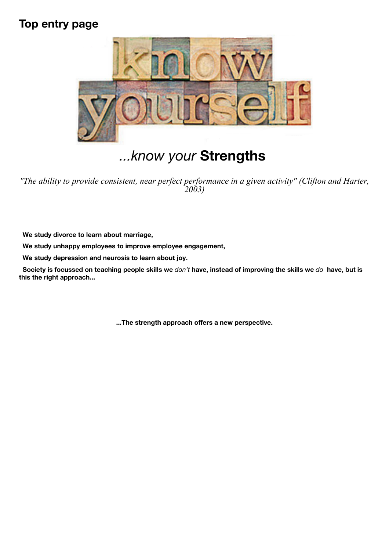## **Top entry page**



# *...know your* **Strengths**

*"The ability to provide consistent, near perfect performance in a given activity" (Clifton and Harter, 2003)*

 **We study divorce to learn about marriage,**

 **We study unhappy employees to improve employee engagement,**

 **We study depression and neurosis to learn about joy.**

 **Society is focussed on teaching people skills we** *don't* **have, instead of improving the skills we** *do* **have, but is this the right approach...**

**...The strength approach offers a new perspective.**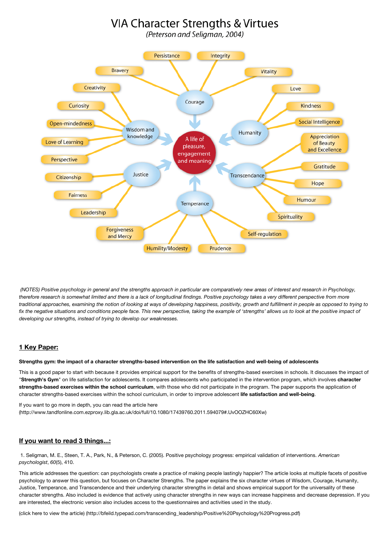## VIA Character Strengths & Virtues

(Peterson and Seligman, 2004)



 *(NOTES) Positive psychology in general and the strengths approach in particular are comparatively new areas of interest and research in Psychology, therefore research is somewhat limited and there is a lack of longitudinal findings. Positive psychology takes a very different perspective from more traditional approaches, examining the notion of looking at ways of developing happiness, positivity, growth and fulfillment in people as opposed to trying to fix the negative situations and conditions people face. This new perspective, taking the example of 'strengths' allows us to look at the positive impact of developing our strengths, instead of trying to develop our weaknesses.*

## **1 Key Paper:**

#### **Strengths gym: the impact of a character strengths-based intervention on the life satisfaction and well-being of adolescents**

This is a good paper to start with because it provides empirical support for the benefits of strengths-based exercises in schools. It discusses the impact of "**Strength's Gym**" on life satisfaction for adolescents. It compares adolescents who participated in the intervention program, which involves **character strengths-based exercises within the school curriculum**, with those who did not participate in the program. The paper supports the application of character strengths-based exercises within the school curriculum, in order to improve adolescent **life satisfaction and well-being**.

If you want to go more in depth, you can read the article here [\(http://www.tandfonline.com.ezproxy.lib.gla.ac.uk/doi/full/10.1080/17439760.2011.594079#.UvOOZHC60Xw\)](http://www.tandfonline.com.ezproxy.lib.gla.ac.uk/doi/full/10.1080/17439760.2011.594079#.UvOOZHC60Xw)

### **If you want to read 3 things...:**

1. Seligman, M. E., Steen, T. A., Park, N., & Peterson, C. (2005). Positive psychology progress: empirical validation of interventions. *American psychologist*, *60*(5), 410.

This article addresses the question: can psychologists create a practice of making people lastingly happier? The article looks at multiple facets of positive psychology to answer this question, but focuses on Character Strengths. The paper explains the six character virtues of Wisdom, Courage, Humanity, Justice, Temperance, and Transcendence and their underlying character strengths in detail and shows empirical support for the universality of these character strengths. Also included is evidence that actively using character strengths in new ways can increase happiness and decrease depression. If you are interested, the electronic version also includes access to the questionnaires and activities used in the study.

[\(click here to view the article\) \(http://bfeild.typepad.com/transcending\\_leadership/Positive%20Psychology%20Progress.pdf\)](http://bfeild.typepad.com/transcending_leadership/Positive%20Psychology%20Progress.pdf)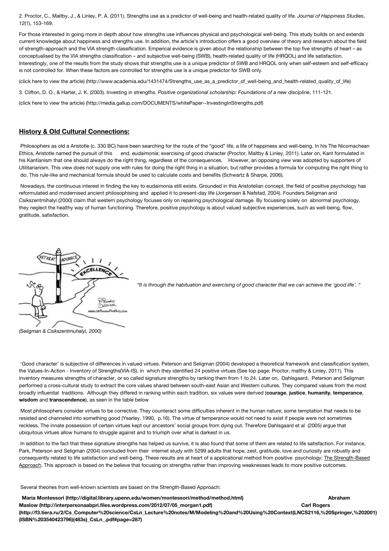2. Proctor, C., Maltby, J., & Linley, P. A. (2011). Strengths use as a predictor of well-being and health-related quality of life. *Journal of Happiness Studies*, *12*(1), 153-169.

For those interested in going more in depth about how strengths use influences physical and psychological well-being. This study builds on and extends current knowledge about happiness and strengths use. In addition, the article's introduction offers a good overview of theory and research about the field of strength-approach and the VIA strength classification. Emperical evidence is given about the relationship between the top five strengths of heart – as conceptualised by the VIA strengths classification – and subjective well-being (SWB), health-related quality of life (HRQOL) and life satisfaction. Interestingly, one of the results from the study shows that strengths use is a unique predictor of SWB and HRQOL only when self-esteem and self-efficacy is not controlled for. When these factors are controlled for strengths use is a unique predictor for SWB only.

[\(click here to view the article\) \(http://www.academia.edu/1431474/Strengths\\_use\\_as\\_a\\_predictor\\_of\\_well-being\\_and\\_health-related\\_quality\\_of\\_life\)](http://www.academia.edu/1431474/Strengths_use_as_a_predictor_of_well-being_and_health-related_quality_of_life)

3. Clifton, D. O., & Harter, J. K. (2003). Investing in strengths. *Positive organizational scholarship: Foundations of a new discipline*, 111-121.

[\(click here to view the article\) \(http://media.gallup.com/DOCUMENTS/whitePaper--InvestingInStrengths.pdf\)](http://media.gallup.com/DOCUMENTS/whitePaper--InvestingInStrengths.pdf)

## **History & Old Cultural Connections:**

Philosophers as old a Aristotle (c. 330 BC) have been searching for the route of the "good" life, a life of happiness and well-being. In his The Nicomachean Ethics, Aristotle named the pursuit of this end, *eudaimonia*; exercising of good character (Proctor, Maltby & Linley, 2011). Later on, Kant formulated in his Kantianism that one should always do the right thing, regardless of the consequences. However, an opposing view was adopted by supporters of Utilitarianism. This view does not supply one with rules for doing the right thing in a situation, but rather provides a formula for computing the right thing to do. This rule-like and mechanical formula should be used to calculate costs and benefits (Schwartz & Sharpe, 2006).

Nowadays, the continuous interest in finding the key to eudaimonia still exists. Grounded in this Aristotelian concept, the field of positive psychology has reformulated and modernised ancient philosophising and applied it to present-day life (Jorgensen & Nafstad, 2004). Founders Seligman and Csikszentmihalyi (2000) claim that western psychology focuses only on repairing psychological damage. By focussing solely on abnormal psychology, they neglect the healthy way of human functioning. Therefore, positive psychology is about valued subjective experiences, such as well-being, flow, gratitude, satisfaction.



*"It is through the habituation and exercising of good character that we can achieve the 'good life'. "*

 'Good character' is subjective of differences in valued virtues. Peterson and Seligman (2004) developed a theoretical framework and classification system, the Values-In-Action - Inventory of Strengths(VIA-IS), in which they identified 24 positive virtues (See top page; Proctor, malthy & Linley, 2011). This inventory measures strengths of character, or so called signature strengths by ranking them from 1 to 24. Later on, Dahlsgaard, Peterson and Seligman performed a cross-cultural study to extract the core values shared between south-east Asian and Western cultures. They compared values from the most broadly influential traditions. Although they differed in ranking within each tradition, six values were derived (**courage**, **justice**, **humanity**, **temperance**, **wisdom** and **transcendence**), as seen in the table below

 Most philosophers consider virtues to be corrective. They counteract some difficulties inherent in the human nature; some temptation that needs to be resisted and channeled into something good (Yearley, 1990, p.16). The virtue of temperance would not need to exist if people were not sometimes reckless. The innate possession of certain virtues kept our ancestors' social groups from dying out. Therefore Dahlsgaard et al (2005) argue that ubiquitous virtues allow humans to struggle against and to triumph over what is darkest in us.

 In addition to the fact that these signature strengths has helped us survive, it is also found that some of them are related to life satisfaction. For instance, Park, Peterson and Seligman (2004) concluded from their internet study with 5299 adults that hope, zest, gratitude, love and curiosity are robustly and consequently related to life satisfaction and well-being. These results are at heart of a applicational method from positive psychology: The Strength-Based Approach. This approach is based on the believe that focusing on strengths rather than improving weaknesses leads to more positive outcomes.

Several theories from well-known scientists are based on the Strength-Based Approach:

 **[Maria Montessori \(http://digital.library.upenn.edu/women/montessori/method/method.html\) Abraham](http://interpersonaabpri.files.wordpress.com/2012/07/05_morgan1.pdf) Maslow (http://interpersonaabpri.files.wordpress.com/2012/07/05\_morgan1.pdf) Carl Rogers [\(http://f3.tiera.ru/2/Cs\\_Computer%20science/CsLn\\_Lecture%20notes/M/Modeling%20and%20Using%20Context\(LNCS2116,%20Springer,%202001\)](http://f3.tiera.ru/2/Cs_Computer%20science/CsLn_Lecture%20notes/M/Modeling%20and%20Using%20Context(LNCS2116,%20Springer,%202001)(ISBN%203540423796)(483s)_CsLn_.pdf#page=287) (ISBN%203540423796)(483s)\_CsLn\_.pdf#page=287)**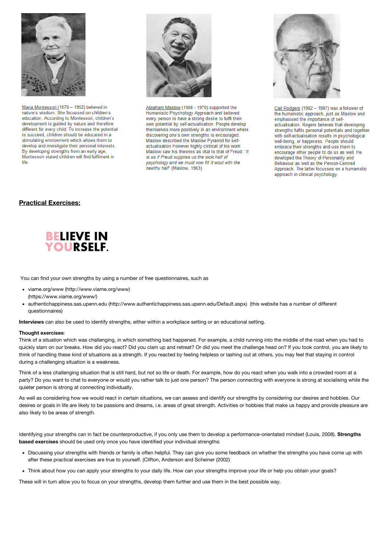

Maria Montessori (1870 - 1952) believed in nature's wisdom. She focussed on children's education. According to Montessori, children's development is guided by nature and therefore different for every child. To increase the potential to succeed, children should be educated in a stimulating environment which allows them to develop and investigate their personal interests. By developing strengths from an early age, Montessori stated children will find fulfilment in life



Abraham Maslow (1908 - 1970) supported the Humanistic Psychology Approach and believed every person to have a strong desire to fulfil their own potential by self-actualisation. People develop themselves more positively in an environment where discovering one's own strengths is encouraged. Maslow described the Maslow Pyramid for selfactualisation However highly ciritical of his work Maslow saw his theories as vital to that of Freud: "It is as if Freud supplies us the sick half of psychology and we must now fill it wout with the healthy half" (Maslow, 1963).



Carl Rodgers (1902 - 1987) was a follower of the humanistic approach, just as Maslow and emphasised the importance of selfactualisation. Rogers believes that developing strengths fulfils personal potentials and together with self-actualisation results in psychological well-being, or happiness. People should embrace their strengths and use them to encourage other people to do so as well. He developed the Theory of Personality and Behaviour as well as the Person-Centred Approach. The latter focusses on a humanistic approach in clinical psychology.

## **Practical Exercises:**



You can find your own strengths by using a number of free questionnaires, such as

- [viame.org/www \(http://www.viame.org/www\)](http://www.viame.org/www) (https://www.viame.org/www/)
- [authentichappiness.sas.upenn.edu \(http://www.authentichappiness.sas.upenn.edu/Default.aspx\)](http://www.authentichappiness.sas.upenn.edu/Default.aspx) (this website has a number of different questionnaires)

**Interviews** can also be used to identify strengths, either within a workplace setting or an educational setting.

#### **Thought exercises**:

Think of a situation which was challenging, in which something bad happened. For example, a child running into the middle of the road when you had to quickly slam on our breaks. How did you react? Did you clam up and retreat? Or did you meet the challenge head on? If you took control, you are likely to think of handling these kind of situations as a strength. If you reacted by feeling helpless or lashing out at others, you may feel that staying in control during a challenging situation is a weakness.

Think of a less challenging situation that is still hard, but not so life or death. For example, how do you react when you walk into a crowded room at a party? Do you want to chat to everyone or would you rather talk to just one person? The person connecting with everyone is strong at socialising while the quieter person is strong at connecting individually.

As well as considering how we would react in certain situations, we can assess and identify our strengths by considering our desires and hobbies. Our desires or goals in life are likely to be passions and dreams, i.e. areas of great strength. Activities or hobbies that make us happy and provide pleasure are also likely to be areas of strength.

Identifying your strengths can in fact be counterproductive, if you only use them to develop a performance-orientated mindset (Louis, 2008). **Strengths based exercises** should be used only once you have identified your individual strengths:

- Discussing your strengths with friends or family is often helpful. They can give you some feedback on whether the strengths you have come up with after these practical exercises are true to yourself. (Clifton, Anderson and Scheiner (2002)
- Think about how you can apply your strengths to your daily life. How can your strengths improve your life or help you obtain your goals?

These will in turn allow you to focus on your strengths, develop them further and use them in the best possible way.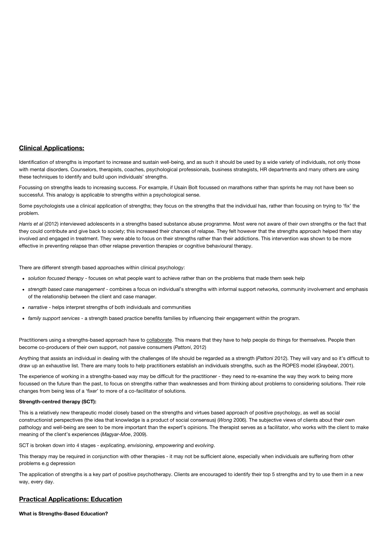## **Clinical Applications:**

Identification of strengths is important to increase and sustain well-being, and as such it should be used by a wide variety of individuals, not only those with mental disorders, Counselors, therapists, coaches, psychological professionals, business strategists, HR departments and many others are using these techniques to identify and build upon individuals' strengths.

Focussing on strengths leads to increasing success. For example, if Usain Bolt focussed on marathons rather than sprints he may not have been so successful. This analogy is applicable to strengths within a psychological sense.

Some psychologists use a clinical application of strengths; they focus on the strengths that the individual has, rather than focusing on trying to 'fix' the problem.

*Harris et al* (2012) interviewed adolescents in a strengths based substance abuse programme. Most were not aware of their own strengths or the fact that they could contribute and give back to society; this increased their chances of relapse. They felt however that the strengths approach helped them stay involved and engaged in treatment. They were able to focus on their strengths rather than their addictions. This intervention was shown to be more effective in preventing relapse than other relapse prevention therapies or cognitive behavioural therapy.

There are different strength based approaches within clinical psychology:

- *solution focused therapy* focuses on what people want to achieve rather than on the problems that made them seek help
- *strength based case management* combines a focus on individual's strengths with informal support networks, community involvement and emphasis of the relationship between the client and case manager.
- *narrative* helps interpret strengths of both individuals and communities
- *family support services* a strength based practice benefits families by influencing their engagement within the program.

Practitioners using a strengths-based approach have to collaborate. This means that they have to help people do things for themselves. People then become co-producers of their own support, not passive consumers (*Pattoni*, 2012)

Anything that assists an individual in dealing with the challenges of life should be regarded as a strength (*Pattoni* 2012). They will vary and so it's difficult to draw up an exhaustive list. There are many tools to help practitioners establish an individuals strengths, such as the ROPES model (*Graybeal*, 2001).

The experience of working in a strengths-based way may be difficult for the practitioner - they need to re-examine the way they work to being more focussed on the future than the past, to focus on strengths rather than weaknesses and from thinking about problems to considering solutions. Their role changes from being less of a 'fixer' to more of a co-facilitator of solutions.

#### **Strength-centred therapy (SCT):**

This is a relatively new therapeutic model closely based on the strengths and virtues based approach of positive psychology, as well as social constructionist perspectives (the idea that knowledge is a product of social consensus) (*Wong* 2006). The subjective views of clients about their own pathology and well-being are seen to be more important than the expert's opinions. The therapist serves as a facilitator, who works with the client to make meaning of the client's experiences (*Magyar-Moe*, 2009).

SCT is broken down into 4 stages - *explicating, envisioning, empowering* and *evolving*.

This therapy may be required in conjunction with other therapies - it may not be sufficient alone, especially when individuals are suffering from other problems e.g depression

The application of strengths is a key part of positive psychotherapy. Clients are encouraged to identify their top 5 strengths and try to use them in a new way, every day.

### **Practical Applications: Education**

**What is Strengths-Based Education?**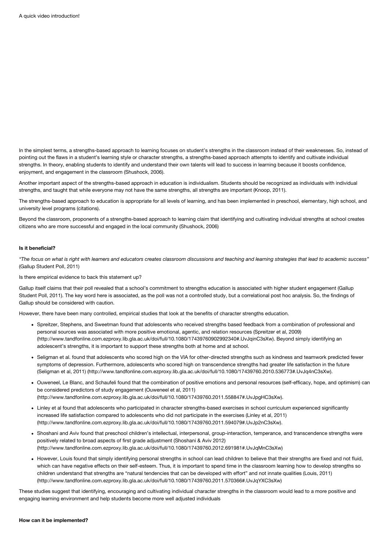In the simplest terms, a strengths-based approach to learning focuses on student's strengths in the classroom instead of their weaknesses. So, instead of pointing out the flaws in a student's learning style or character strengths, a strengths-based approach attempts to identify and cultivate individual strengths. In theory, enabling students to identify and understand their own talents will lead to success in learning because it boosts confidence, enjoyment, and engagement in the classroom (Shushock, 2006).

Another important aspect of the strengths-based approach in education is individualism. Students should be recognized as individuals with individual strengths, and taught that while everyone may not have the same strengths, all strengths are important (Knoop, 2011).

The strengths-based approach to education is appropriate for all levels of learning, and has been implemented in preschool, elementary, high school, and university level programs (citations).

Beyond the classroom, proponents of a strengths-based approach to learning claim that identifying and cultivating individual strengths at school creates citizens who are more successful and engaged in the local community (Shushock, 2006)

#### **Is it beneficial?**

*"The focus on what is right with learners and educators creates classroom discussions and teaching and learning strategies that lead to academic success"* (Gallup Student Poll, 2011)

Is there empirical evidence to back this statement up?

Gallup itself claims that their poll revealed that a school's commitment to strengths education is associated with higher student engagement (Gallup Student Poll, 2011). The key word here is associated, as the poll was not a controlled study, but a correlational post hoc analysis. So, the findings of Gallup should be considered with caution.

However, there have been many controlled, empirical studies that look at the benefits of character strengths education.

- Spreitzer, Stephens, and Sweetman found that adolescents who received strengths based feedback from a combination of professional and personal sources was associated with more positive emotional, agentic, and relation resources (Spreitzer et al, 2009) [\(http://www.tandfonline.com.ezproxy.lib.gla.ac.uk/doi/full/10.1080/17439760902992340#.UvJqinC3sXw\). Beyond sim](http://www.tandfonline.com.ezproxy.lib.gla.ac.uk/doi/full/10.1080/17439760902992340#.UvJqinC3sXw)ply identifying an adolescent's strengths, it is important to support these strengths both at home and at school.
- Seligman et al. found that adolescents who scored high on the VIA for other-directed strengths such as kindness and teamwork predicted fewer symptoms of depression. Furthermore, adolescents who scored high on transcendence strengths had greater life satisfaction in the future [\(Seligman et al, 2011\) \(http://www.tandfonline.com.ezproxy.lib.gla.ac.uk/doi/full/10.1080/17439760.2010.536773#.UvJq4nC3sXw\).](http://www.tandfonline.com.ezproxy.lib.gla.ac.uk/doi/full/10.1080/17439760.2010.536773#.UvJq4nC3sXw)
- Ouweneel, Le Blanc, and Schaufeli found that the combination of positive emotions and personal resources (self-efficacy, hope, and optimism) can be considered predictors of study engagement (Ouweneel et al, 2011) [\(http://www.tandfonline.com.ezproxy.lib.gla.ac.uk/doi/full/10.1080/17439760.2011.558847#.UvJpgHC3sXw\).](http://www.tandfonline.com.ezproxy.lib.gla.ac.uk/doi/full/10.1080/17439760.2011.558847#.UvJpgHC3sXw)
- Linley et al found that adolescents who participated in character strengths-based exercises in school curriculum experienced significantly [increased life satisfaction compared to adolescents who did not participate in the exercises \(Linley et al, 2011\)](http://www.tandfonline.com.ezproxy.lib.gla.ac.uk/doi/full/10.1080/17439760.2011.594079#.UvJp2nC3sXw) (http://www.tandfonline.com.ezproxy.lib.gla.ac.uk/doi/full/10.1080/17439760.2011.594079#.UvJp2nC3sXw).
- Shoshani and Aviv found that preschool children's intellectual, interpersonal, group-interaction, temperance, and transcendence strengths were positively related to broad aspects of first grade adjustment (Shoshani & Aviv 2012) [\(http://www.tandfonline.com.ezproxy.lib.gla.ac.uk/doi/full/10.1080/17439760.2012.691981#.UvJqMnC3sXw\)](http://www.tandfonline.com.ezproxy.lib.gla.ac.uk/doi/full/10.1080/17439760.2012.691981#.UvJqMnC3sXw)
- However, Louis found that simply identifying personal strengths in school can lead children to believe that their strengths are fixed and not fluid, which can have negative effects on their self-esteem. Thus, it is important to spend time in the classroom learning how to develop strengths so [children understand that strengths are "natural tendencies that can be developed with effort" and not innate qualities \(Louis, 2011\)](http://www.tandfonline.com.ezproxy.lib.gla.ac.uk/doi/full/10.1080/17439760.2011.570366#.UvJqYXC3sXw) (http://www.tandfonline.com.ezproxy.lib.gla.ac.uk/doi/full/10.1080/17439760.2011.570366#.UvJqYXC3sXw)

These studies suggest that identifying, encouraging and cultivating individual character strengths in the classroom would lead to a more positive and engaging learning environment and help students become more well adjusted individuals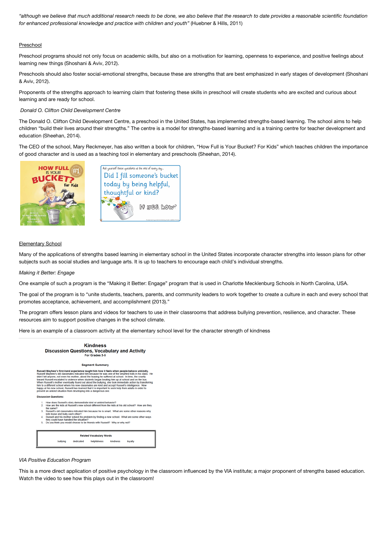*"although we believe that much additional research needs to be done, we also believe that the research to date provides a reasonable scientific foundation for enhanced professional knowledge and practice with children and youth"* (Huebner & Hills, 2011)

#### Preschool

Preschool programs should not only focus on academic skills, but also on a motivation for learning, openness to experience, and positive feelings about learning new things (Shoshani & Aviv, 2012).

Preschools should also foster social-emotional strengths, because these are strengths that are best emphasized in early stages of development (Shoshani & Aviv, 2012).

Proponents of the strengths approach to learning claim that fostering these skills in preschool will create students who are excited and curious about learning and are ready for school.

#### *Donald O. Clifton Child Development Centre*

The Donald O. Clifton Child Development Centre, a preschool in the United States, has implemented strengths-based learning. The school aims to help children "build their lives around their strengths." The centre is a model for strengths-based learning and is a training centre for teacher development and education (Sheehan, 2014).

The CEO of the school, Mary Reckmeyer, has also written a book for children, "How Full is Your Bucket? For Kids" which teaches children the importance of good character and is used as a teaching tool in elementary and preschools (Sheehan, 2014).



#### Elementary School

Many of the applications of strengths based learning in elementary school in the United States incorporate character strengths into lesson plans for other subjects such as social studies and language arts. It is up to teachers to encourage each child's individual strengths.

#### *Making it Better: Engage*

One example of such a program is the "Making it Better: Engage" program that is used in Charlotte Mecklenburg Schools in North Carolina, USA.

The goal of the program is to "unite students, teachers, parents, and community leaders to work together to create a culture in each and every school that promotes acceptance, achievement, and accomplishment (2013)."

The program offers lesson plans and videos for teachers to use in their classrooms that address bullying prevention, resilience, and character. These resources aim to support positive changes in the school climate.

Here is an example of a classroom activity at the elementary school level for the character strength of kindness

| <b>Kindness</b><br><b>Discussion Questions, Vocabulary and Activity</b><br>For Grades 3-5                                                                                                                                                                                                                                                                                                                                                                                                                                                                                                                                                                                                                                                                                                                             |  |
|-----------------------------------------------------------------------------------------------------------------------------------------------------------------------------------------------------------------------------------------------------------------------------------------------------------------------------------------------------------------------------------------------------------------------------------------------------------------------------------------------------------------------------------------------------------------------------------------------------------------------------------------------------------------------------------------------------------------------------------------------------------------------------------------------------------------------|--|
| <b>Segment Summary</b>                                                                                                                                                                                                                                                                                                                                                                                                                                                                                                                                                                                                                                                                                                                                                                                                |  |
| Russell Mayhew's first-hand experience taught him how it feels when people behave unkindly.<br>Russell Mayhew's old classmates ridiculed him because he was one of the smartest kids in his class. He<br>didn't tell anvone, not even his mother, about the teasing he suffered at school. In time, the cruelty<br>loward Russell escalated to violence when students began beating him up at school and on the bus.<br>When Russell's mother eventually found out about the bullying, she took immediate action by transferring<br>him to a different school where his new classmates are kind and accept Russell's intelligence. Now<br>happy at his new school. Russell has learned that it is important to seek help from adults in order to<br>prevent an unkind situation from developing into a dangerous one. |  |
| <b>Discussion Questions:</b>                                                                                                                                                                                                                                                                                                                                                                                                                                                                                                                                                                                                                                                                                                                                                                                          |  |
| 1. How does Russell's story demonstrate kind or unkind behavior?<br>2. How are the kids at Russell's new school different from the kids at his old school? How are they<br>the same?<br>3. Russell's old classmates ridiculed him because he is smart. What are some other reasons why<br>kids tease and bully each other?<br>4. Russell and his mother solved his problem by finding a new school. What are some other ways<br>they could have handled the situation?<br>5. Do you think you would choose to be friends with Russell? Why or why not?                                                                                                                                                                                                                                                                |  |
| <b>Related Vocabulary Words</b><br>dedicated<br>loyalty<br>bullying<br>helpfulness<br>kindness                                                                                                                                                                                                                                                                                                                                                                                                                                                                                                                                                                                                                                                                                                                        |  |
|                                                                                                                                                                                                                                                                                                                                                                                                                                                                                                                                                                                                                                                                                                                                                                                                                       |  |

#### *VIA Positive Education Program*

This is a more direct application of positive psychology in the classroom influenced by the VIA institute; a major proponent of strengths based education. Watch the video to see how this plays out in the classroom!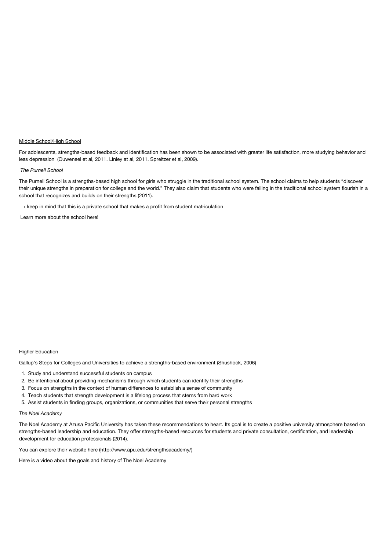#### Middle School/High School

For adolescents, strengths-based feedback and identification has been shown to be associated with greater life satisfaction, more studying behavior and less depression (Ouweneel et al, 2011. Linley at al, 2011. Spreitzer et al, 2009).

#### *The Purnell School*

The Purnell School is a strengths-based high school for girls who struggle in the traditional school system. The school claims to help students "discover their unique strengths in preparation for college and the world." They also claim that students who were failing in the traditional school system flourish in a school that recognizes and builds on their strengths (2011).

 $\rightarrow$  keep in mind that this is a private school that makes a profit from student matriculation

Learn more about the school here!

#### **Higher Education**

Gallup's Steps for Colleges and Universities to achieve a strengths-based environment (Shushock, 2006)

- 1. Study and understand successful students on campus
- 2. Be intentional about providing mechanisms through which students can identify their strengths
- 3. Focus on strengths in the context of human differences to establish a sense of community
- 4. Teach students that strength development is a lifelong process that stems from hard work
- 5. Assist students in finding groups, organizations, or communities that serve their personal strengths

## *The Noel Academy*

The Noel Academy at Azusa Pacific University has taken these recommendations to heart. Its goal is to create a positive university atmosphere based on strengths-based leadership and education. They offer strengths-based resources for students and private consultation, certification, and leadership development for education professionals (2014).

You can explore their website [here \(http://www.apu.edu/strengthsacademy/\)](http://www.apu.edu/strengthsacademy/)

Here is a video about the goals and history of The Noel Academy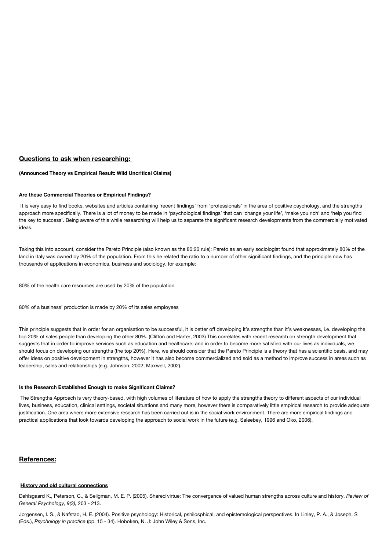#### **Questions to ask when researching:**

#### **(Announced Theory vs Empirical Result: Wild Uncritical Claims)**

#### **Are these Commercial Theories or Empirical Findings?**

 It is very easy to find books, websites and articles containing 'recent findings' from 'professionals' in the area of positive psychology, and the strengths approach more specifically. There is a lot of money to be made in 'psychological findings' that can 'change your life', 'make you rich' and 'help you find the key to success'. Being aware of this while researching will help us to separate the significant research developments from the commercially motivated ideas.

Taking this into account, consider the Pareto Principle (also known as the 80:20 rule): Pareto as an early sociologist found that approximately 80% of the land in Italy was owned by 20% of the population. From this he related the ratio to a number of other significant findings, and the principle now has thousands of applications in economics, business and sociology, for example:

80% of the health care resources are used by 20% of the population

80% of a business' production is made by 20% of its sales employees

This principle suggests that in order for an organisation to be successful, it is better off developing it's strengths than it's weaknesses, i.e. developing the top 20% of sales people than developing the other 80%. (Clifton and Harter, 2003) This correlates with recent research on strength development that suggests that in order to improve services such as education and healthcare, and in order to become more satisfied with our lives as individuals, we should focus on developing our strengths (the top 20%). Here, we should consider that the Pareto Principle is a theory that has a scientific basis, and may offer ideas on positive development in strengths, however it has also become commercialized and sold as a method to improve success in areas such as leadership, sales and relationships (e.g. Johnson, 2002; Maxwell, 2002).

#### **Is the Research Established Enough to make Significant Claims?**

The Strengths Approach is very theory-based, with high volumes of literature of how to apply the strengths theory to different aspects of our individual lives, business, education, clinical settings, societal situations and many more, however there is comparatively little empirical research to provide adequate justification. One area where more extensive research has been carried out is in the social work environment. There are more empirical findings and practical applications that look towards developing the approach to social work in the future (e.g. Saleebey, 1996 and Oko, 2006).

#### **References:**

#### **History and old cultural connections**

Dahlsgaard K., Peterson, C., & Seligman, M. E. P. (2005). Shared virtue: The convergence of valued human strengths across culture and history. *Review of General Psychology, 9(3),* 203 - 213.

Jorgensen, I. S., & Nafstad, H. E. (2004). Positive psychology: Historical, pshilosphical, and epistemological perspectives. In Linley, P. A., & Joseph, S (Eds.), *Psychology in practice* (pp. 15 - 34). Hoboken, N. J: John Wiley & Sons, Inc.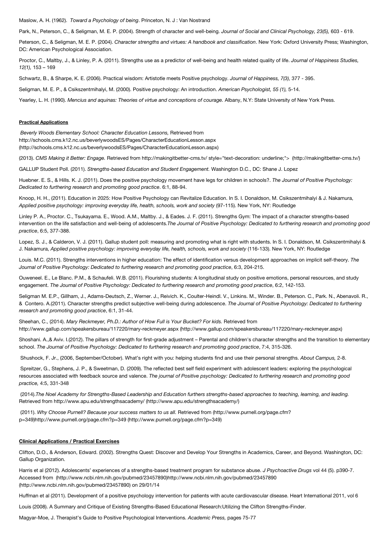Maslow, A. H. (1962). *Toward a Psychology of being*. Princeton, N. J : Van Nostrand

Park, N., Peterson, C., & Seligman, M. E. P. (2004). Strength of character and well-being. *Journal of Social and Clinical Psychology, 23(5),* 603 - 619.

Peterson, C., & Seligman, M. E. P. (2004). *Character strengths and virtues: A handbook and classification*. New York: Oxford University Press; Washington, DC: American Psychological Association.

Proctor, C., Maltby, J., & Linley, P. A. (2011). Strengths use as a predictor of well-being and health related quality of life. *Journal of Happiness Studies, 12(1),* 153 – 169

Schwartz, B., & Sharpe, K. E. (2006). Practical wisdom: Artistotle meets Positive psychology. *Journal of Happiness, 7(3),* 377 - 395.

Seligman, M. E. P., & Csikszentmihalyi, M. (2000). Positive psychology: An introduction. *American Psychologist, 55 (1),* 5-14.

Yearley, L. H. (1990). Mencius and aquinas: Theories of virtue and conceptions of courage. Albany, N.Y: State University of New York Press.

#### **Practical Applications**

*Beverly Woods Elementary School: Character Education Lessons,* Retrieved from http://schools.cms.k12.nc.us/beverlywoodsES/Pages/CharacterEducationLesson.aspx [\(http://schools.cms.k12.nc.us/beverlywoodsES/Pages/CharacterEducationLesson.aspx\)](http://schools.cms.k12.nc.us/beverlywoodsES/Pages/CharacterEducationLesson.aspx)

(2013). *CMS Making it Better: Engage.* Retrieved from [http://makingitbetter-cms.tv/ style="text-decoration: underline;"> \(http://makingitbetter-cms.tv/\)](http://makingitbetter-cms.tv/)

GALLUP Student Poll. (2011). *Strengths-based Education and Student Engagement.* Washington D.C., DC: Shane J. Lopez

Huebner. E. S., & Hills. K. J. (2011). Does the positive psychology movement have legs for children in schools?. *The Journal of Positive Psychology: Dedicated to furthering research and promoting good practice*. 6:1, 88-94.

Knoop, H. H., (2011). Education in 2025: How Positive Psychology can Revitalize Education. In S. I. Donaldson, M. Csikszentmihalyi & J. Nakamura, *Applied positive psychology: improving everyday life, health, schools, work and society* (97-115). New York, NY: Routledge

Linley P. A., Proctor. C., Tsukayama. E., Wood. A.M., Maltby. J., & Eades. J. F. (2011). Strengths Gym: The impact of a character strengths-based intervention on the life satisfaction and well-being of adolescents.*The Journal of Positive Psychology: Dedicated to furthering research and promoting good practice*, 6:5, 377-388.

Lopez, S. J., & Calderon, V. J. (2011). Gallup student poll: measuring and promoting what is right with students. In S. I. Donaldson, M. Csikszentmihalyi & J. Nakamura, *Applied positive psychology: improving everyday life, health, schools, work and society* (116-133). New York, NY: Routledge

Louis. M.C. (2011). Strengths interventions in higher education: The effect of identification versus development approaches on implicit self-theory. *The Journal of Positive Psychology: Dedicated to furthering research and promoting good practice*, 6:3, 204-215.

Ouweneel. E., Le Blanc. P.M., & Schaufeli. W.B. (2011). Flourishing students: A longitudinal study on positive emotions, personal resources, and study engagement. *The Journal of Positive Psychology: Dedicated to furthering research and promoting good practice*, 6:2, 142-153.

Seligman M. E.P., Gillham, J., Adams-Deutsch, Z., Werner. J., Reivich. K., Coulter-Heindl. V., Linkins. M., Winder. B., Peterson. C., Park. N., Abenavoli. R., & Contero. A.(2011). Character strengths predict subjective well-being during adolescence. *The Journal of Positive Psychology: Dedicated to furthering research and promoting good practice*, 6:1, 31-44.

Sheehan, C., (2014). *Mary Reckmeyer, Ph.D.: Author of How Full is Your Bucket? For kids. Retrieved from* [http://www.gallup.com/speakersbureau/117220/mary-reckmeyer.aspx \(http://www.gallup.com/speakersbureau/117220/mary-reckmeyer.aspx\)](http://www.gallup.com/speakersbureau/117220/mary-reckmeyer.aspx)

Shoshani. A.,& Aviv. I.(2012). The pillars of strength for first-grade adjustment – Parental and children's character strengths and the transition to elementary school. *The Journal of Positive Psychology: Dedicated to furthering research and promoting good practice*, 7:4, 315-326.

Shushock, F. Jr., (2006, September/October). What's right with you: helping students find and use their personal strengths. *About Campus,* 2-8.

Spreitzer, G., Stephens, J. P., & Sweetman, D. (2009). The reflected best self field experiment with adolescent leaders: exploring the psychological resources associated with feedback source and valence. *The journal of Positive psychology: Dedicated to furthering research and promoting good practice,* 4:5, 331-348

 (2014).*The Noel Academy for Strengths-Based Leadership and Education furthers strengths-based approaches to teaching, learning, and leading.* Retrieved from [http://www.apu.edu/strengthsacademy/ \(http://www.apu.edu/strengthsacademy/\)](http://www.apu.edu/strengthsacademy/)

(2011). *Why Choose Purnell? Because your success matters to us all.* Retrieved from (http://www.purnell.org/page.cfm? [p=349\)http://www.purnell.org/page.cfm?p=349 \(http://www.purnell.org/page.cfm?p=349\)](http://www.purnell.org/page.cfm?p=349)

#### **Clinical Applications / Practical Exercises**

Clifton, D.O., & Anderson, Edward. (2002). Strengths Quest: Discover and Develop Your Strengths in Academics, Career, and Beyond. Washington, DC: Gallup Organization.

Harris et al (2012). Adolescents' experiences of a strengths-based treatment program for substance abuse. *J Psychoactive Drugs* vol 44 (5). p390-7. [Accessed from \(http://www.ncbi.nlm.nih.gov/pubmed/23457890\)http://www.ncbi.nlm.nih.gov/pubmed/23457890](http://www.ncbi.nlm.nih.gov/pubmed/23457890) (http://www.ncbi.nlm.nih.gov/pubmed/23457890) on 29/01/14

Huffman et al (2011). Development of a positive psychology intervention for patients with acute cardiovascular disease. Heart International 2011, vol 6

Louis (2008). A Summary and Critique of Existing Strengths-Based Educational Research:Utilizing the Clifton Strengths-Finder.

Magyar-Moe, J. Therapist's Guide to Positive Psychological Interventions. *Academic Press,* pages 75-77